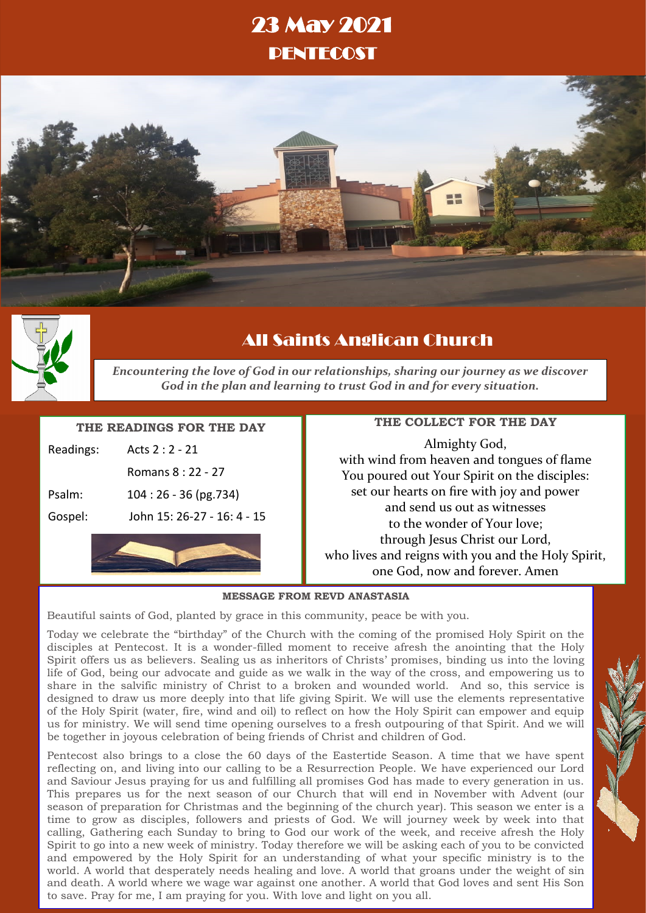# 23 May 2021 PENTECOST





# All Saints Anglican Church

*Encountering the love of God in our relationships, sharing our journey as we discover God in the plan and learning to trust God in and for every situation.*

## **THE READINGS FOR THE DAY**

| Gospel:   | John 15: 26-27 - 16: 4 - 15 |
|-----------|-----------------------------|
| Psalm:    | $104:26 - 36$ (pg.734)      |
|           | Romans 8: 22 - 27           |
| Readings: | Acts $2:2 - 21$             |

# **THE COLLECT FOR THE DAY**

Almighty God, with wind from heaven and tongues of flame You poured out Your Spirit on the disciples: set our hearts on fire with joy and power and send us out as witnesses to the wonder of Your love; through Jesus Christ our Lord, who lives and reigns with you and the Holy Spirit, one God, now and forever. Amen

### **MESSAGE FROM REVD ANASTASIA**

Beautiful saints of God, planted by grace in this community, peace be with you.

Today we celebrate the "birthday" of the Church with the coming of the promised Holy Spirit on the disciples at Pentecost. It is a wonder-filled moment to receive afresh the anointing that the Holy Spirit offers us as believers. Sealing us as inheritors of Christs' promises, binding us into the loving life of God, being our advocate and guide as we walk in the way of the cross, and empowering us to share in the salvific ministry of Christ to a broken and wounded world. And so, this service is designed to draw us more deeply into that life giving Spirit. We will use the elements representative of the Holy Spirit (water, fire, wind and oil) to reflect on how the Holy Spirit can empower and equip us for ministry. We will send time opening ourselves to a fresh outpouring of that Spirit. And we will be together in joyous celebration of being friends of Christ and children of God.

Pentecost also brings to a close the 60 days of the Eastertide Season. A time that we have spent reflecting on, and living into our calling to be a Resurrection People. We have experienced our Lord and Saviour Jesus praying for us and fulfilling all promises God has made to every generation in us. This prepares us for the next season of our Church that will end in November with Advent (our season of preparation for Christmas and the beginning of the church year). This season we enter is a time to grow as disciples, followers and priests of God. We will journey week by week into that calling, Gathering each Sunday to bring to God our work of the week, and receive afresh the Holy Spirit to go into a new week of ministry. Today therefore we will be asking each of you to be convicted and empowered by the Holy Spirit for an understanding of what your specific ministry is to the world. A world that desperately needs healing and love. A world that groans under the weight of sin and death. A world where we wage war against one another. A world that God loves and sent His Son to save. Pray for me, I am praying for you. With love and light on you all.